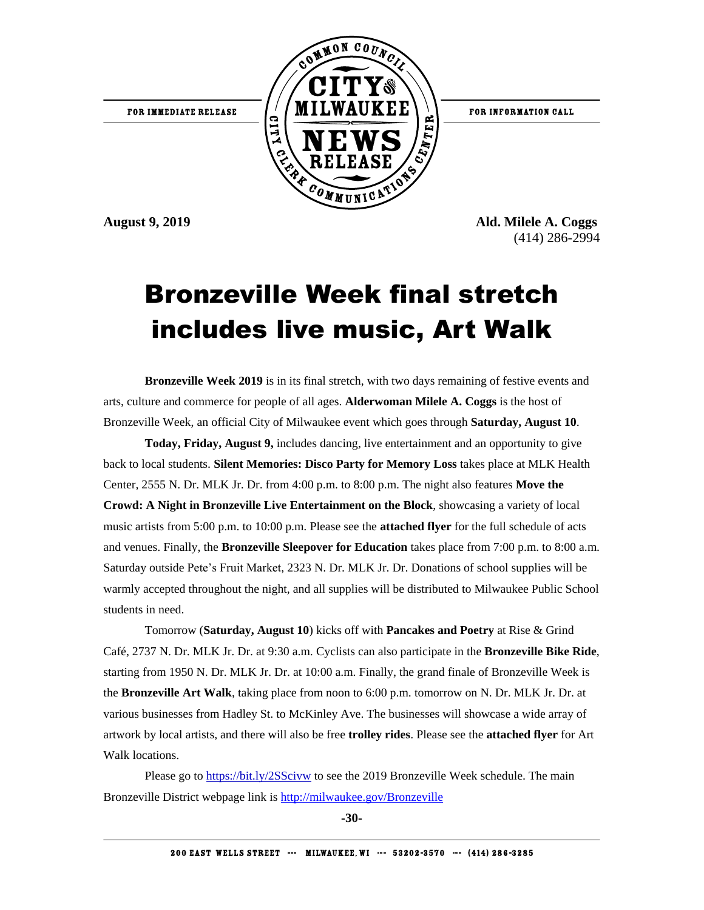

FOR INFORMATION CALL

**August 9, 2019 Ald. Milele A. Coggs** (414) 286-2994

## Bronzeville Week final stretch includes live music, Art Walk

**Bronzeville Week 2019** is in its final stretch, with two days remaining of festive events and arts, culture and commerce for people of all ages. **Alderwoman Milele A. Coggs** is the host of Bronzeville Week, an official City of Milwaukee event which goes through **Saturday, August 10**.

**Today, Friday, August 9,** includes dancing, live entertainment and an opportunity to give back to local students. **Silent Memories: Disco Party for Memory Loss** takes place at MLK Health Center, 2555 N. Dr. MLK Jr. Dr. from 4:00 p.m. to 8:00 p.m. The night also features **Move the Crowd: A Night in Bronzeville Live Entertainment on the Block**, showcasing a variety of local music artists from 5:00 p.m. to 10:00 p.m. Please see the **attached flyer** for the full schedule of acts and venues. Finally, the **Bronzeville Sleepover for Education** takes place from 7:00 p.m. to 8:00 a.m. Saturday outside Pete's Fruit Market, 2323 N. Dr. MLK Jr. Dr. Donations of school supplies will be warmly accepted throughout the night, and all supplies will be distributed to Milwaukee Public School students in need.

Tomorrow (**Saturday, August 10**) kicks off with **Pancakes and Poetry** at Rise & Grind Café, 2737 N. Dr. MLK Jr. Dr. at 9:30 a.m. Cyclists can also participate in the **Bronzeville Bike Ride**, starting from 1950 N. Dr. MLK Jr. Dr. at 10:00 a.m. Finally, the grand finale of Bronzeville Week is the **Bronzeville Art Walk**, taking place from noon to 6:00 p.m. tomorrow on N. Dr. MLK Jr. Dr. at various businesses from Hadley St. to McKinley Ave. The businesses will showcase a wide array of artwork by local artists, and there will also be free **trolley rides**. Please see the **attached flyer** for Art Walk locations.

Please go to<https://bit.ly/2SScivw> to see the 2019 Bronzeville Week schedule. The main Bronzeville District webpage link is<http://milwaukee.gov/Bronzeville>

**-30-**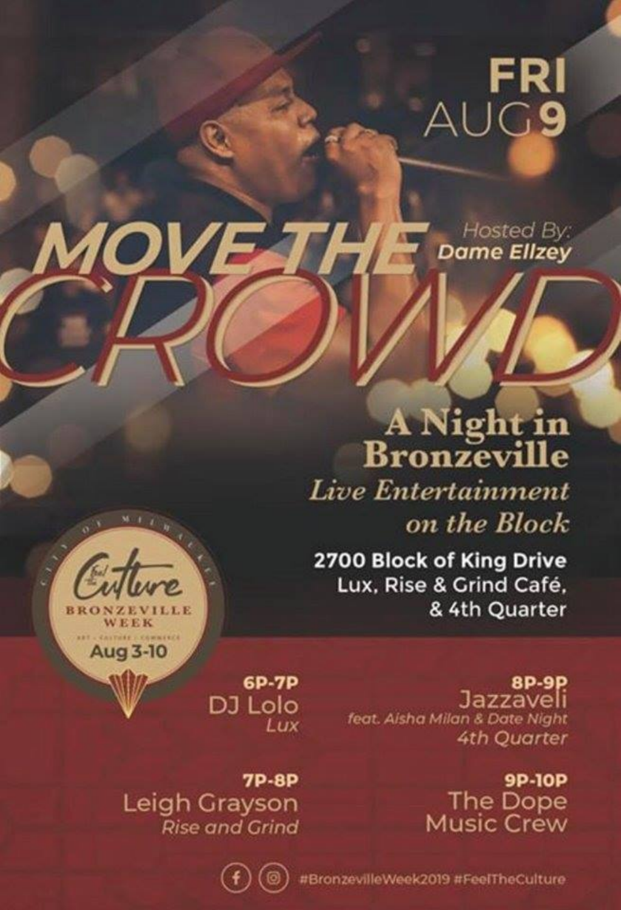## FRI UG9

Hosted By: **Dame Elizey** 

## A Night in<br>Bronzeville Live Entertainment on the Block

2700 Block of King Drive Lux, Rise & Grind Café, & 4th Quarter

> 8P-9P Jazzaveli feat. Aisha Milan & Date Night 4th Quarter

> > **9P-10P** The Dope **Music Crew**

6P-7P DJ Lolo Lux

**7P-8P** Leigh Grayson **Rise and Grind** 

**Aug 3-10** 

 $\mathcal{V}$ 

#BronzevilleWeek2019 #FeelTheCulture